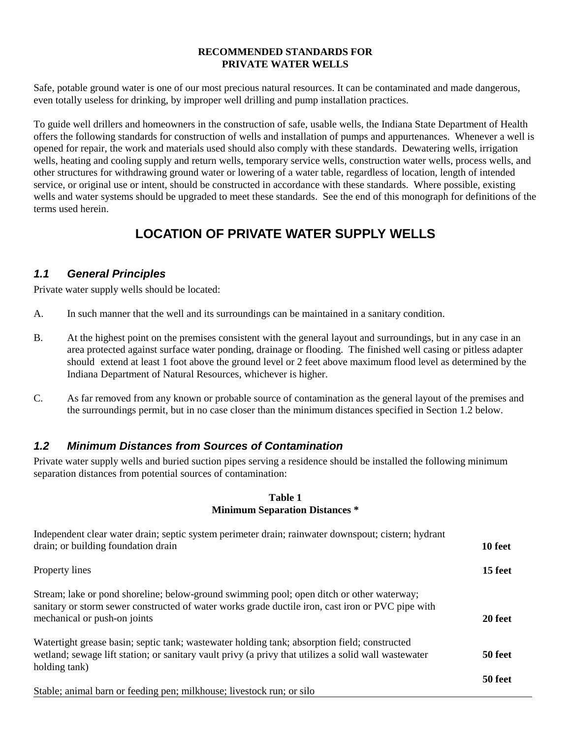#### **RECOMMENDED STANDARDS FOR PRIVATE WATER WELLS**

Safe, potable ground water is one of our most precious natural resources. It can be contaminated and made dangerous, even totally useless for drinking, by improper well drilling and pump installation practices.

To guide well drillers and homeowners in the construction of safe, usable wells, the Indiana State Department of Health offers the following standards for construction of wells and installation of pumps and appurtenances. Whenever a well is opened for repair, the work and materials used should also comply with these standards. Dewatering wells, irrigation wells, heating and cooling supply and return wells, temporary service wells, construction water wells, process wells, and other structures for withdrawing ground water or lowering of a water table, regardless of location, length of intended service, or original use or intent, should be constructed in accordance with these standards. Where possible, existing wells and water systems should be upgraded to meet these standards. See the end of this monograph for definitions of the terms used herein.

# **LOCATION OF PRIVATE WATER SUPPLY WELLS**

### *1.1 General Principles*

Private water supply wells should be located:

- A. In such manner that the well and its surroundings can be maintained in a sanitary condition.
- B. At the highest point on the premises consistent with the general layout and surroundings, but in any case in an area protected against surface water ponding, drainage or flooding. The finished well casing or pitless adapter should extend at least 1 foot above the ground level or 2 feet above maximum flood level as determined by the Indiana Department of Natural Resources, whichever is higher.
- C. As far removed from any known or probable source of contamination as the general layout of the premises and the surroundings permit, but in no case closer than the minimum distances specified in Section 1.2 below.

### *1.2 Minimum Distances from Sources of Contamination*

Private water supply wells and buried suction pipes serving a residence should be installed the following minimum separation distances from potential sources of contamination:

#### **Table 1 Minimum Separation Distances \***

| Independent clear water drain; septic system perimeter drain; rainwater downspout; cistern; hydrant<br>drain; or building foundation drain                                                                                     | 10 feet |
|--------------------------------------------------------------------------------------------------------------------------------------------------------------------------------------------------------------------------------|---------|
| Property lines                                                                                                                                                                                                                 | 15 feet |
| Stream; lake or pond shoreline; below-ground swimming pool; open ditch or other waterway;<br>sanitary or storm sewer constructed of water works grade ductile iron, cast iron or PVC pipe with<br>mechanical or push-on joints | 20 feet |
| Watertight grease basin; septic tank; wastewater holding tank; absorption field; constructed<br>wetland; sewage lift station; or sanitary vault privy (a privy that utilizes a solid wall was tewater<br>holding tank)         | 50 feet |
| Stable; animal barn or feeding pen; milkhouse; livestock run; or silo                                                                                                                                                          | 50 feet |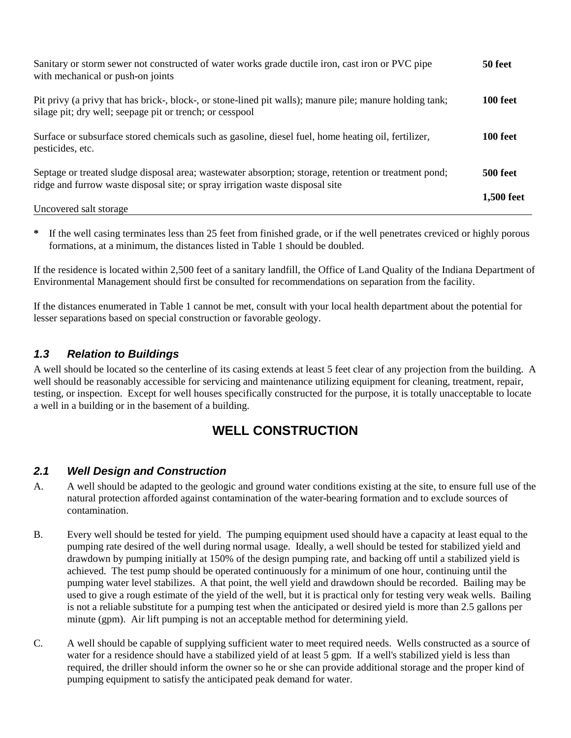| Sanitary or storm sewer not constructed of water works grade ductile iron, cast iron or PVC pipe<br>with mechanical or push-on joints                                                   | 50 feet         |
|-----------------------------------------------------------------------------------------------------------------------------------------------------------------------------------------|-----------------|
| Pit privy (a privy that has brick-, block-, or stone-lined pit walls); manure pile; manure holding tank;<br>silage pit; dry well; seepage pit or trench; or cesspool                    | 100 feet        |
| Surface or subsurface stored chemicals such as gasoline, diesel fuel, home heating oil, fertilizer,<br>pesticides, etc.                                                                 | <b>100 feet</b> |
| Septage or treated sludge disposal area; was tewater absorption; storage, retention or treatment pond;<br>ridge and furrow waste disposal site; or spray irrigation waste disposal site | <b>500 feet</b> |
| Uncovered salt storage                                                                                                                                                                  | 1,500 feet      |

**\*** If the well casing terminates less than 25 feet from finished grade, or if the well penetrates creviced or highly porous formations, at a minimum, the distances listed in Table 1 should be doubled.

If the residence is located within 2,500 feet of a sanitary landfill, the Office of Land Quality of the Indiana Department of Environmental Management should first be consulted for recommendations on separation from the facility.

If the distances enumerated in Table 1 cannot be met, consult with your local health department about the potential for lesser separations based on special construction or favorable geology.

## *1.3 Relation to Buildings*

A well should be located so the centerline of its casing extends at least 5 feet clear of any projection from the building. A well should be reasonably accessible for servicing and maintenance utilizing equipment for cleaning, treatment, repair, testing, or inspection. Except for well houses specifically constructed for the purpose, it is totally unacceptable to locate a well in a building or in the basement of a building.

# **WELL CONSTRUCTION**

### *2.1 Well Design and Construction*

- A. A well should be adapted to the geologic and ground water conditions existing at the site, to ensure full use of the natural protection afforded against contamination of the water-bearing formation and to exclude sources of contamination.
- B. Every well should be tested for yield. The pumping equipment used should have a capacity at least equal to the pumping rate desired of the well during normal usage. Ideally, a well should be tested for stabilized yield and drawdown by pumping initially at 150% of the design pumping rate, and backing off until a stabilized yield is achieved. The test pump should be operated continuously for a minimum of one hour, continuing until the pumping water level stabilizes. A that point, the well yield and drawdown should be recorded. Bailing may be used to give a rough estimate of the yield of the well, but it is practical only for testing very weak wells. Bailing is not a reliable substitute for a pumping test when the anticipated or desired yield is more than 2.5 gallons per minute (gpm). Air lift pumping is not an acceptable method for determining yield.
- C. A well should be capable of supplying sufficient water to meet required needs. Wells constructed as a source of water for a residence should have a stabilized yield of at least 5 gpm. If a well's stabilized yield is less than required, the driller should inform the owner so he or she can provide additional storage and the proper kind of pumping equipment to satisfy the anticipated peak demand for water.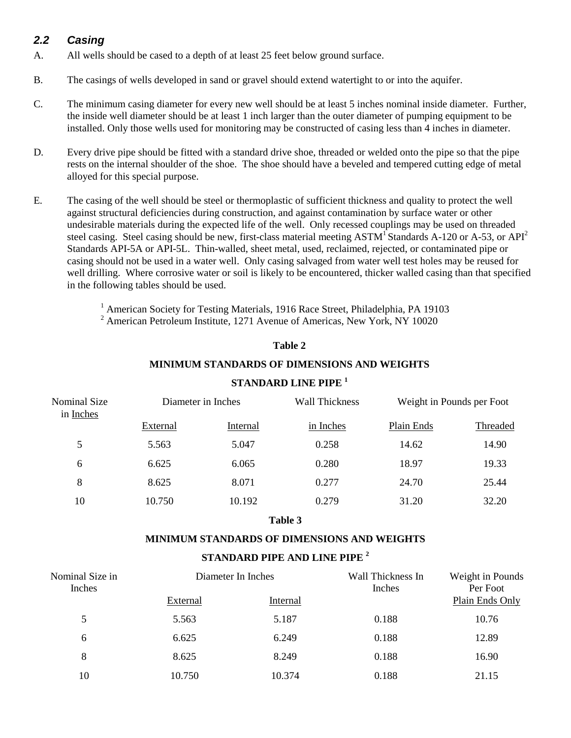## *2.2 Casing*

- A. All wells should be cased to a depth of at least 25 feet below ground surface.
- B. The casings of wells developed in sand or gravel should extend watertight to or into the aquifer.
- C. The minimum casing diameter for every new well should be at least 5 inches nominal inside diameter. Further, the inside well diameter should be at least 1 inch larger than the outer diameter of pumping equipment to be installed. Only those wells used for monitoring may be constructed of casing less than 4 inches in diameter.
- D. Every drive pipe should be fitted with a standard drive shoe, threaded or welded onto the pipe so that the pipe rests on the internal shoulder of the shoe. The shoe should have a beveled and tempered cutting edge of metal alloyed for this special purpose.
- E. The casing of the well should be steel or thermoplastic of sufficient thickness and quality to protect the well against structural deficiencies during construction, and against contamination by surface water or other undesirable materials during the expected life of the well. Only recessed couplings may be used on threaded steel casing. Steel casing should be new, first-class material meeting ASTM<sup>1</sup> Standards A-120 or A-53, or API<sup>2</sup> Standards API-5A or API-5L. Thin-walled, sheet metal, used, reclaimed, rejected, or contaminated pipe or casing should not be used in a water well. Only casing salvaged from water well test holes may be reused for well drilling. Where corrosive water or soil is likely to be encountered, thicker walled casing than that specified in the following tables should be used.

<sup>1</sup> American Society for Testing Materials, 1916 Race Street, Philadelphia, PA 19103 <sup>2</sup> American Petroleum Institute, 1271 Avenue of Americas, New York, NY 10020

#### **Table 2**

#### **MINIMUM STANDARDS OF DIMENSIONS AND WEIGHTS**

| Diameter in Inches |          | <b>Wall Thickness</b> | Weight in Pounds per Foot |          |
|--------------------|----------|-----------------------|---------------------------|----------|
| External           | Internal | in Inches             | Plain Ends                | Threaded |
| 5.563              | 5.047    | 0.258                 | 14.62                     | 14.90    |
| 6.625              | 6.065    | 0.280                 | 18.97                     | 19.33    |
| 8.625              | 8.071    | 0.277                 | 24.70                     | 25.44    |
| 10.750             | 10.192   | 0.279                 | 31.20                     | 32.20    |
|                    |          |                       |                           |          |

### **STANDARD LINE PIPE 1**

#### **Table 3**

#### **MINIMUM STANDARDS OF DIMENSIONS AND WEIGHTS**

### **STANDARD PIPE AND LINE PIPE 2**

| Nominal Size in<br>Inches | Diameter In Inches |          | Wall Thickness In<br>Inches | Weight in Pounds<br>Per Foot |
|---------------------------|--------------------|----------|-----------------------------|------------------------------|
|                           | External           | Internal |                             | Plain Ends Only              |
| 5                         | 5.563              | 5.187    | 0.188                       | 10.76                        |
| 6                         | 6.625              | 6.249    | 0.188                       | 12.89                        |
| 8                         | 8.625              | 8.249    | 0.188                       | 16.90                        |
| 10                        | 10.750             | 10.374   | 0.188                       | 21.15                        |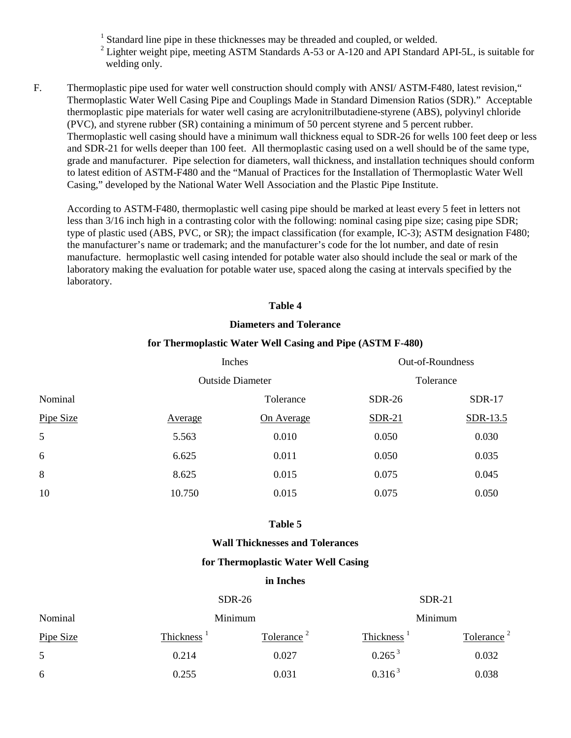<sup>1</sup> Standard line pipe in these thicknesses may be threaded and coupled, or welded.

- <sup>2</sup> Lighter weight pipe, meeting ASTM Standards A-53 or A-120 and API Standard API-5L, is suitable for welding only.
- F. Thermoplastic pipe used for water well construction should comply with ANSI/ ASTM-F480, latest revision," Thermoplastic Water Well Casing Pipe and Couplings Made in Standard Dimension Ratios (SDR)." Acceptable thermoplastic pipe materials for water well casing are acrylonitrilbutadiene-styrene (ABS), polyvinyl chloride (PVC), and styrene rubber (SR) containing a minimum of 50 percent styrene and 5 percent rubber. Thermoplastic well casing should have a minimum wall thickness equal to SDR-26 for wells 100 feet deep or less and SDR-21 for wells deeper than 100 feet. All thermoplastic casing used on a well should be of the same type, grade and manufacturer. Pipe selection for diameters, wall thickness, and installation techniques should conform to latest edition of ASTM-F480 and the "Manual of Practices for the Installation of Thermoplastic Water Well Casing," developed by the National Water Well Association and the Plastic Pipe Institute.

According to ASTM-F480, thermoplastic well casing pipe should be marked at least every 5 feet in letters not less than 3/16 inch high in a contrasting color with the following: nominal casing pipe size; casing pipe SDR; type of plastic used (ABS, PVC, or SR); the impact classification (for example, IC-3); ASTM designation F480; the manufacturer's name or trademark; and the manufacturer's code for the lot number, and date of resin manufacture. hermoplastic well casing intended for potable water also should include the seal or mark of the laboratory making the evaluation for potable water use, spaced along the casing at intervals specified by the laboratory.

#### **Table 4**

#### **Diameters and Tolerance**

#### **for Thermoplastic Water Well Casing and Pipe (ASTM F-480)**

|           | Inches         |                         |               | Out-of-Roundness |
|-----------|----------------|-------------------------|---------------|------------------|
|           |                | <b>Outside Diameter</b> |               | Tolerance        |
| Nominal   |                | Tolerance               | <b>SDR-26</b> | <b>SDR-17</b>    |
| Pipe Size | <b>Average</b> | On Average              | <b>SDR-21</b> | SDR-13.5         |
| 5         | 5.563          | 0.010                   | 0.050         | 0.030            |
| 6         | 6.625          | 0.011                   | 0.050         | 0.035            |
| 8         | 8.625          | 0.015                   | 0.075         | 0.045            |
| 10        | 10.750         | 0.015                   | 0.075         | 0.050            |

#### **Table 5**

#### **Wall Thicknesses and Tolerances**

#### **for Thermoplastic Water Well Casing**

#### **in Inches**

|           | $SDR-26$               |                        | $SDR-21$               |                        |
|-----------|------------------------|------------------------|------------------------|------------------------|
| Nominal   |                        | Minimum                |                        | Minimum                |
| Pipe Size | Thickness <sup>1</sup> | Tolerance <sup>2</sup> | Thickness <sup>1</sup> | Tolerance <sup>2</sup> |
| 5         | 0.214                  | 0.027                  | $0.265^3$              | 0.032                  |
| 6         | 0.255                  | 0.031                  | $0.316^3$              | 0.038                  |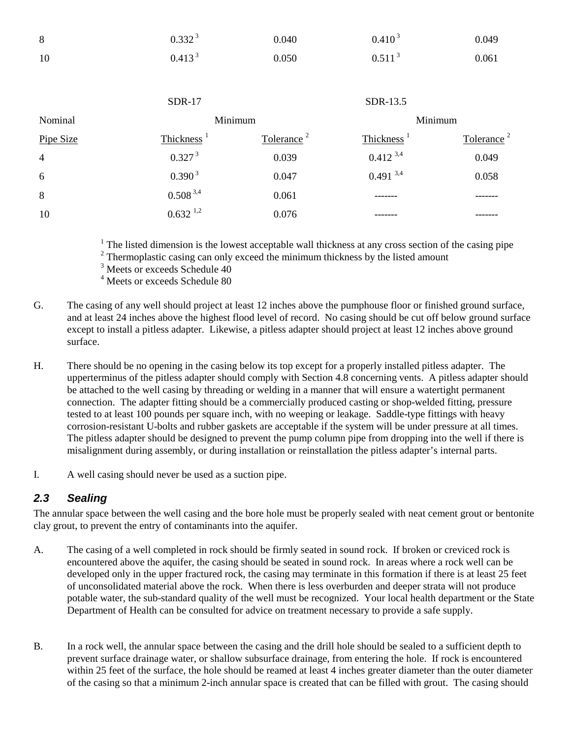| 8              | 0.332 <sup>3</sup>     | 0.040                  | 0.410 <sup>3</sup>     | 0.049                  |
|----------------|------------------------|------------------------|------------------------|------------------------|
| 10             | 0.413 <sup>3</sup>     | 0.050                  | 0.511 <sup>3</sup>     | 0.061                  |
|                |                        |                        |                        |                        |
|                | <b>SDR-17</b>          |                        | SDR-13.5               |                        |
| Nominal        |                        | Minimum                |                        | Minimum                |
| Pipe Size      | Thickness <sup>1</sup> | Tolerance <sup>2</sup> | Thickness <sup>1</sup> | Tolerance <sup>2</sup> |
| $\overline{4}$ | 0.327 <sup>3</sup>     | 0.039                  | $0.412^{3,4}$          | 0.049                  |
| 6              | 0.390 <sup>3</sup>     | 0.047                  | $0.491$ <sup>3,4</sup> | 0.058                  |
| 8              | $0.508^{3,4}$          | 0.061                  |                        |                        |
| 10             | $0.632^{1,2}$          | 0.076                  |                        |                        |

 $1$  The listed dimension is the lowest acceptable wall thickness at any cross section of the casing pipe

 $2$  Thermoplastic casing can only exceed the minimum thickness by the listed amount

<sup>3</sup> Meets or exceeds Schedule 40

4 Meets or exceeds Schedule 80

- G. The casing of any well should project at least 12 inches above the pumphouse floor or finished ground surface, and at least 24 inches above the highest flood level of record. No casing should be cut off below ground surface except to install a pitless adapter. Likewise, a pitless adapter should project at least 12 inches above ground surface.
- H. There should be no opening in the casing below its top except for a properly installed pitless adapter. The upperterminus of the pitless adapter should comply with Section 4.8 concerning vents. A pitless adapter should be attached to the well casing by threading or welding in a manner that will ensure a watertight permanent connection. The adapter fitting should be a commercially produced casting or shop-welded fitting, pressure tested to at least 100 pounds per square inch, with no weeping or leakage. Saddle-type fittings with heavy corrosion-resistant U-bolts and rubber gaskets are acceptable if the system will be under pressure at all times. The pitless adapter should be designed to prevent the pump column pipe from dropping into the well if there is misalignment during assembly, or during installation or reinstallation the pitless adapter's internal parts.
- I. A well casing should never be used as a suction pipe.

### *2.3 Sealing*

The annular space between the well casing and the bore hole must be properly sealed with neat cement grout or bentonite clay grout, to prevent the entry of contaminants into the aquifer.

- A. The casing of a well completed in rock should be firmly seated in sound rock. If broken or creviced rock is encountered above the aquifer, the casing should be seated in sound rock. In areas where a rock well can be developed only in the upper fractured rock, the casing may terminate in this formation if there is at least 25 feet of unconsolidated material above the rock. When there is less overburden and deeper strata will not produce potable water, the sub-standard quality of the well must be recognized. Your local health department or the State Department of Health can be consulted for advice on treatment necessary to provide a safe supply.
- B. In a rock well, the annular space between the casing and the drill hole should be sealed to a sufficient depth to prevent surface drainage water, or shallow subsurface drainage, from entering the hole. If rock is encountered within 25 feet of the surface, the hole should be reamed at least 4 inches greater diameter than the outer diameter of the casing so that a minimum 2-inch annular space is created that can be filled with grout. The casing should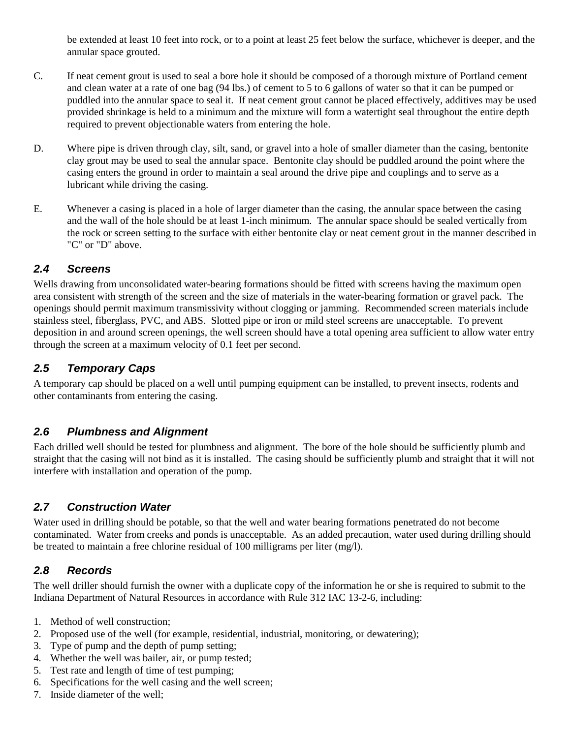be extended at least 10 feet into rock, or to a point at least 25 feet below the surface, whichever is deeper, and the annular space grouted.

- C. If neat cement grout is used to seal a bore hole it should be composed of a thorough mixture of Portland cement and clean water at a rate of one bag (94 lbs.) of cement to 5 to 6 gallons of water so that it can be pumped or puddled into the annular space to seal it. If neat cement grout cannot be placed effectively, additives may be used provided shrinkage is held to a minimum and the mixture will form a watertight seal throughout the entire depth required to prevent objectionable waters from entering the hole.
- D. Where pipe is driven through clay, silt, sand, or gravel into a hole of smaller diameter than the casing, bentonite clay grout may be used to seal the annular space. Bentonite clay should be puddled around the point where the casing enters the ground in order to maintain a seal around the drive pipe and couplings and to serve as a lubricant while driving the casing.
- E. Whenever a casing is placed in a hole of larger diameter than the casing, the annular space between the casing and the wall of the hole should be at least 1-inch minimum. The annular space should be sealed vertically from the rock or screen setting to the surface with either bentonite clay or neat cement grout in the manner described in "C" or "D" above.

### *2.4 Screens*

Wells drawing from unconsolidated water-bearing formations should be fitted with screens having the maximum open area consistent with strength of the screen and the size of materials in the water-bearing formation or gravel pack. The openings should permit maximum transmissivity without clogging or jamming. Recommended screen materials include stainless steel, fiberglass, PVC, and ABS. Slotted pipe or iron or mild steel screens are unacceptable. To prevent deposition in and around screen openings, the well screen should have a total opening area sufficient to allow water entry through the screen at a maximum velocity of 0.1 feet per second.

## *2.5 Temporary Caps*

A temporary cap should be placed on a well until pumping equipment can be installed, to prevent insects, rodents and other contaminants from entering the casing.

## *2.6 Plumbness and Alignment*

Each drilled well should be tested for plumbness and alignment. The bore of the hole should be sufficiently plumb and straight that the casing will not bind as it is installed. The casing should be sufficiently plumb and straight that it will not interfere with installation and operation of the pump.

## *2.7 Construction Water*

Water used in drilling should be potable, so that the well and water bearing formations penetrated do not become contaminated. Water from creeks and ponds is unacceptable. As an added precaution, water used during drilling should be treated to maintain a free chlorine residual of 100 milligrams per liter (mg/l).

## *2.8 Records*

The well driller should furnish the owner with a duplicate copy of the information he or she is required to submit to the Indiana Department of Natural Resources in accordance with Rule 312 IAC 13-2-6, including:

- 1. Method of well construction;
- 2. Proposed use of the well (for example, residential, industrial, monitoring, or dewatering);
- 3. Type of pump and the depth of pump setting;
- 4. Whether the well was bailer, air, or pump tested;
- 5. Test rate and length of time of test pumping;
- 6. Specifications for the well casing and the well screen;
- 7. Inside diameter of the well;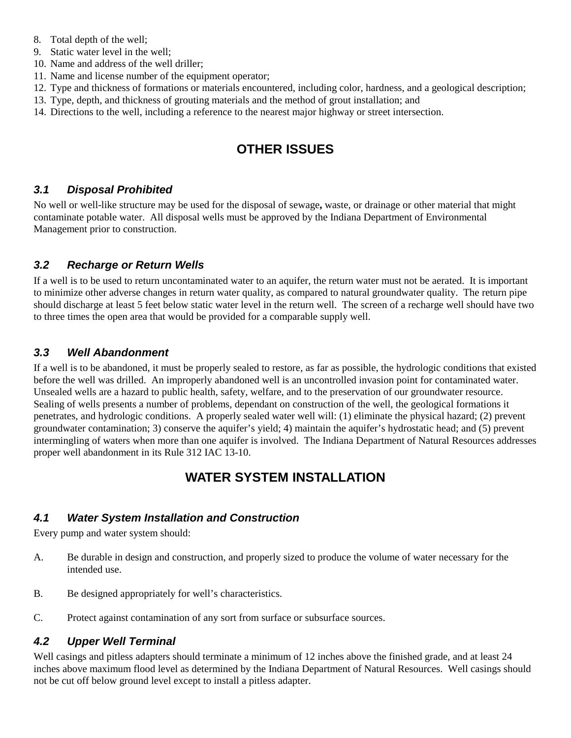- 8. Total depth of the well;
- 9. Static water level in the well;
- 10. Name and address of the well driller;
- 11. Name and license number of the equipment operator;
- 12. Type and thickness of formations or materials encountered, including color, hardness, and a geological description;
- 13. Type, depth, and thickness of grouting materials and the method of grout installation; and
- 14. Directions to the well, including a reference to the nearest major highway or street intersection.

# **OTHER ISSUES**

### *3.1 Disposal Prohibited*

No well or well-like structure may be used for the disposal of sewage**,** waste, or drainage or other material that might contaminate potable water. All disposal wells must be approved by the Indiana Department of Environmental Management prior to construction.

### *3.2 Recharge or Return Wells*

If a well is to be used to return uncontaminated water to an aquifer, the return water must not be aerated. It is important to minimize other adverse changes in return water quality, as compared to natural groundwater quality. The return pipe should discharge at least 5 feet below static water level in the return well. The screen of a recharge well should have two to three times the open area that would be provided for a comparable supply well.

### *3.3 Well Abandonment*

If a well is to be abandoned, it must be properly sealed to restore, as far as possible, the hydrologic conditions that existed before the well was drilled. An improperly abandoned well is an uncontrolled invasion point for contaminated water. Unsealed wells are a hazard to public health, safety, welfare, and to the preservation of our groundwater resource. Sealing of wells presents a number of problems, dependant on construction of the well, the geological formations it penetrates, and hydrologic conditions. A properly sealed water well will: (1) eliminate the physical hazard; (2) prevent groundwater contamination; 3) conserve the aquifer's yield; 4) maintain the aquifer's hydrostatic head; and (5) prevent intermingling of waters when more than one aquifer is involved. The Indiana Department of Natural Resources addresses proper well abandonment in its Rule 312 IAC 13-10.

# **WATER SYSTEM INSTALLATION**

### *4.1 Water System Installation and Construction*

Every pump and water system should:

- A. Be durable in design and construction, and properly sized to produce the volume of water necessary for the intended use.
- B. Be designed appropriately for well's characteristics.
- C. Protect against contamination of any sort from surface or subsurface sources.

### *4.2 Upper Well Terminal*

Well casings and pitless adapters should terminate a minimum of 12 inches above the finished grade, and at least 24 inches above maximum flood level as determined by the Indiana Department of Natural Resources. Well casings should not be cut off below ground level except to install a pitless adapter.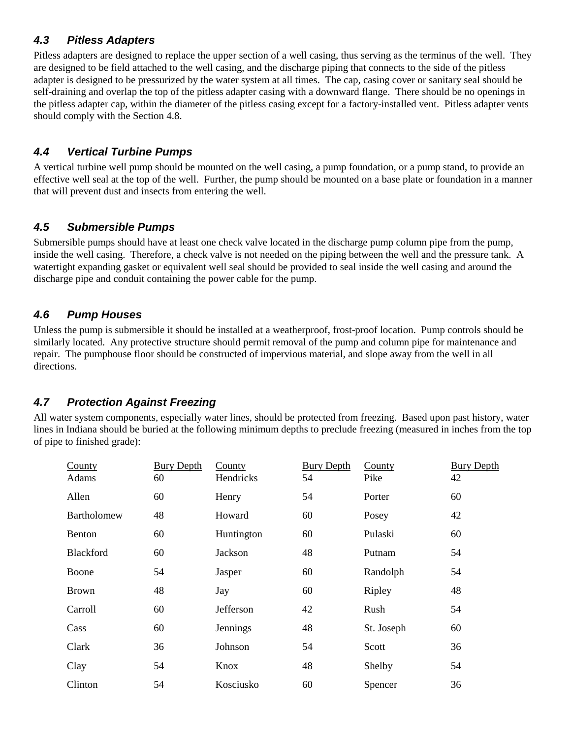## *4.3 Pitless Adapters*

Pitless adapters are designed to replace the upper section of a well casing, thus serving as the terminus of the well. They are designed to be field attached to the well casing, and the discharge piping that connects to the side of the pitless adapter is designed to be pressurized by the water system at all times. The cap, casing cover or sanitary seal should be self-draining and overlap the top of the pitless adapter casing with a downward flange. There should be no openings in the pitless adapter cap, within the diameter of the pitless casing except for a factory-installed vent. Pitless adapter vents should comply with the Section 4.8.

## *4.4 Vertical Turbine Pumps*

A vertical turbine well pump should be mounted on the well casing, a pump foundation, or a pump stand, to provide an effective well seal at the top of the well. Further, the pump should be mounted on a base plate or foundation in a manner that will prevent dust and insects from entering the well.

## *4.5 Submersible Pumps*

Submersible pumps should have at least one check valve located in the discharge pump column pipe from the pump, inside the well casing. Therefore, a check valve is not needed on the piping between the well and the pressure tank. A watertight expanding gasket or equivalent well seal should be provided to seal inside the well casing and around the discharge pipe and conduit containing the power cable for the pump.

## *4.6 Pump Houses*

Unless the pump is submersible it should be installed at a weatherproof, frost-proof location. Pump controls should be similarly located. Any protective structure should permit removal of the pump and column pipe for maintenance and repair. The pumphouse floor should be constructed of impervious material, and slope away from the well in all directions.

## *4.7 Protection Against Freezing*

All water system components, especially water lines, should be protected from freezing. Based upon past history, water lines in Indiana should be buried at the following minimum depths to preclude freezing (measured in inches from the top of pipe to finished grade):

| County<br>Adams | <b>Bury Depth</b><br>60 | County<br>Hendricks | <b>Bury Depth</b><br>54 | County<br>Pike | <b>Bury Depth</b><br>42 |
|-----------------|-------------------------|---------------------|-------------------------|----------------|-------------------------|
| Allen           | 60                      | Henry               | 54                      | Porter         | 60                      |
| Bartholomew     | 48                      | Howard              | 60                      | Posey          | 42                      |
| <b>Benton</b>   | 60                      | Huntington          | 60                      | Pulaski        | 60                      |
| Blackford       | 60                      | Jackson             | 48                      | Putnam         | 54                      |
| Boone           | 54                      | Jasper              | 60                      | Randolph       | 54                      |
| <b>Brown</b>    | 48                      | Jay                 | 60                      | Ripley         | 48                      |
| Carroll         | 60                      | Jefferson           | 42                      | Rush           | 54                      |
| Cass            | 60                      | Jennings            | 48                      | St. Joseph     | 60                      |
| Clark           | 36                      | Johnson             | 54                      | Scott          | 36                      |
| Clay            | 54                      | Knox                | 48                      | Shelby         | 54                      |
| Clinton         | 54                      | Kosciusko           | 60                      | Spencer        | 36                      |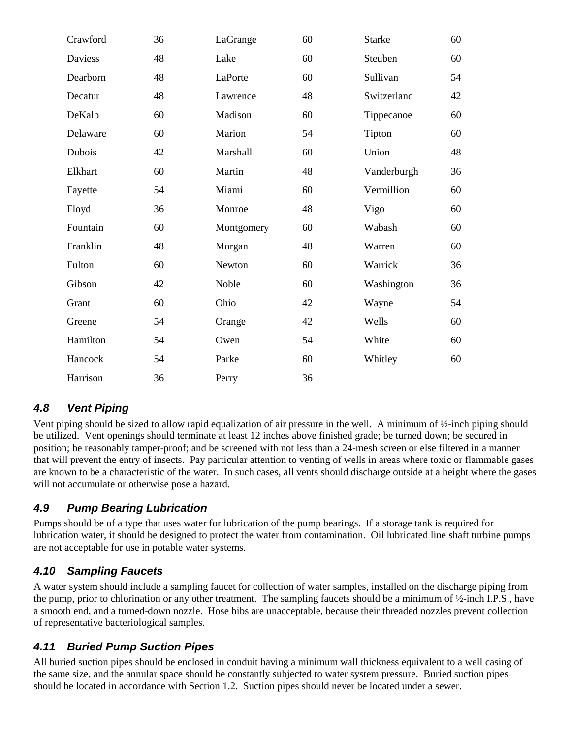| Crawford | 36 | LaGrange   | 60 | <b>Starke</b> | 60 |
|----------|----|------------|----|---------------|----|
| Daviess  | 48 | Lake       | 60 | Steuben       | 60 |
| Dearborn | 48 | LaPorte    | 60 | Sullivan      | 54 |
| Decatur  | 48 | Lawrence   | 48 | Switzerland   | 42 |
| DeKalb   | 60 | Madison    | 60 | Tippecanoe    | 60 |
| Delaware | 60 | Marion     | 54 | Tipton        | 60 |
| Dubois   | 42 | Marshall   | 60 | Union         | 48 |
| Elkhart  | 60 | Martin     | 48 | Vanderburgh   | 36 |
| Fayette  | 54 | Miami      | 60 | Vermillion    | 60 |
| Floyd    | 36 | Monroe     | 48 | Vigo          | 60 |
| Fountain | 60 | Montgomery | 60 | Wabash        | 60 |
| Franklin | 48 | Morgan     | 48 | Warren        | 60 |
| Fulton   | 60 | Newton     | 60 | Warrick       | 36 |
| Gibson   | 42 | Noble      | 60 | Washington    | 36 |
| Grant    | 60 | Ohio       | 42 | Wayne         | 54 |
| Greene   | 54 | Orange     | 42 | Wells         | 60 |
| Hamilton | 54 | Owen       | 54 | White         | 60 |
| Hancock  | 54 | Parke      | 60 | Whitley       | 60 |
| Harrison | 36 | Perry      | 36 |               |    |

## *4.8 Vent Piping*

Vent piping should be sized to allow rapid equalization of air pressure in the well. A minimum of ½-inch piping should be utilized. Vent openings should terminate at least 12 inches above finished grade; be turned down; be secured in position; be reasonably tamper-proof; and be screened with not less than a 24-mesh screen or else filtered in a manner that will prevent the entry of insects. Pay particular attention to venting of wells in areas where toxic or flammable gases are known to be a characteristic of the water. In such cases, all vents should discharge outside at a height where the gases will not accumulate or otherwise pose a hazard.

## *4.9 Pump Bearing Lubrication*

Pumps should be of a type that uses water for lubrication of the pump bearings. If a storage tank is required for lubrication water, it should be designed to protect the water from contamination. Oil lubricated line shaft turbine pumps are not acceptable for use in potable water systems.

## *4.10 Sampling Faucets*

A water system should include a sampling faucet for collection of water samples, installed on the discharge piping from the pump, prior to chlorination or any other treatment. The sampling faucets should be a minimum of ½-inch I.P.S., have a smooth end, and a turned-down nozzle. Hose bibs are unacceptable, because their threaded nozzles prevent collection of representative bacteriological samples.

## *4.11 Buried Pump Suction Pipes*

All buried suction pipes should be enclosed in conduit having a minimum wall thickness equivalent to a well casing of the same size, and the annular space should be constantly subjected to water system pressure. Buried suction pipes should be located in accordance with Section 1.2. Suction pipes should never be located under a sewer.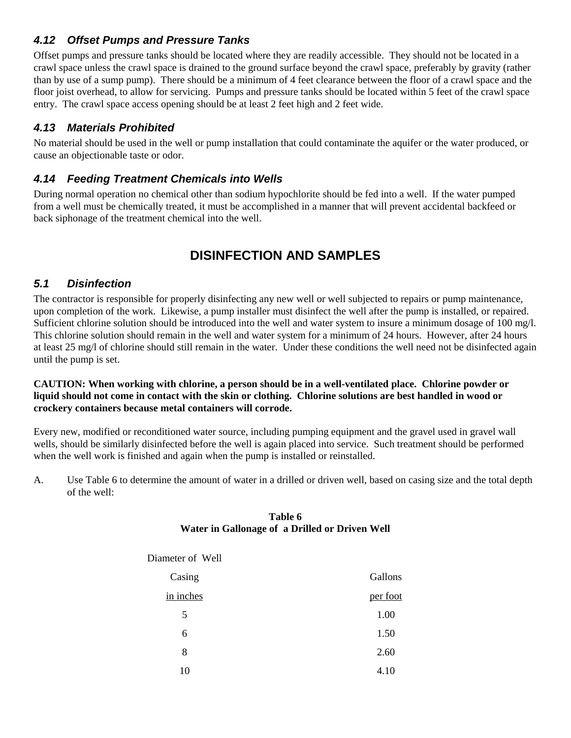## *4.12 Offset Pumps and Pressure Tanks*

Offset pumps and pressure tanks should be located where they are readily accessible. They should not be located in a crawl space unless the crawl space is drained to the ground surface beyond the crawl space, preferably by gravity (rather than by use of a sump pump). There should be a minimum of 4 feet clearance between the floor of a crawl space and the floor joist overhead, to allow for servicing. Pumps and pressure tanks should be located within 5 feet of the crawl space entry. The crawl space access opening should be at least 2 feet high and 2 feet wide.

## *4.13 Materials Prohibited*

No material should be used in the well or pump installation that could contaminate the aquifer or the water produced, or cause an objectionable taste or odor.

### *4.14 Feeding Treatment Chemicals into Wells*

During normal operation no chemical other than sodium hypochlorite should be fed into a well. If the water pumped from a well must be chemically treated, it must be accomplished in a manner that will prevent accidental backfeed or back siphonage of the treatment chemical into the well.

# **DISINFECTION AND SAMPLES**

### *5.1 Disinfection*

The contractor is responsible for properly disinfecting any new well or well subjected to repairs or pump maintenance, upon completion of the work. Likewise, a pump installer must disinfect the well after the pump is installed, or repaired. Sufficient chlorine solution should be introduced into the well and water system to insure a minimum dosage of 100 mg/l. This chlorine solution should remain in the well and water system for a minimum of 24 hours. However, after 24 hours at least 25 mg/l of chlorine should still remain in the water. Under these conditions the well need not be disinfected again until the pump is set.

#### **CAUTION: When working with chlorine, a person should be in a well-ventilated place. Chlorine powder or liquid should not come in contact with the skin or clothing. Chlorine solutions are best handled in wood or crockery containers because metal containers will corrode.**

Every new, modified or reconditioned water source, including pumping equipment and the gravel used in gravel wall wells, should be similarly disinfected before the well is again placed into service. Such treatment should be performed when the well work is finished and again when the pump is installed or reinstalled.

A. Use Table 6 to determine the amount of water in a drilled or driven well, based on casing size and the total depth of the well:

#### **Table 6 Water in Gallonage of a Drilled or Driven Well**

| Diameter of Well |          |
|------------------|----------|
| Casing           | Gallons  |
| in inches        | per foot |
| 5                | 1.00     |
| 6                | 1.50     |
| 8                | 2.60     |
| 10               | 4.10     |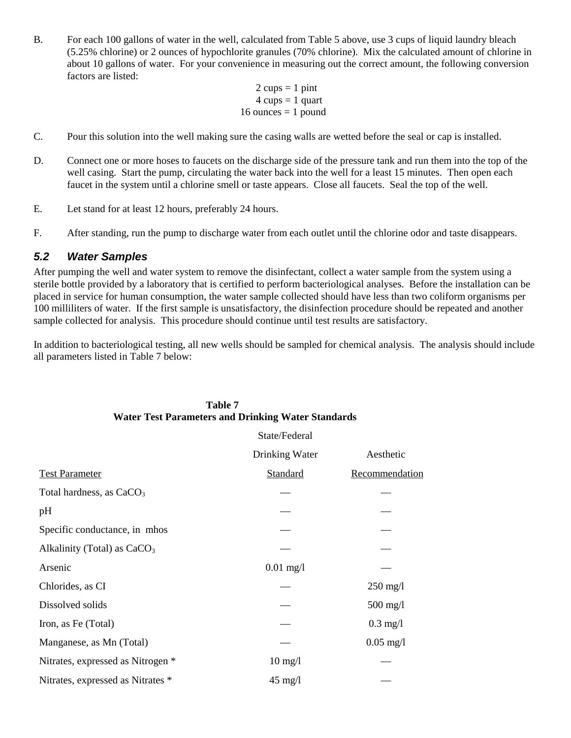B. For each 100 gallons of water in the well, calculated from Table 5 above, use 3 cups of liquid laundry bleach (5.25% chlorine) or 2 ounces of hypochlorite granules (70% chlorine). Mix the calculated amount of chlorine in about 10 gallons of water. For your convenience in measuring out the correct amount, the following conversion factors are listed:

```
2 \text{ cups} = 1 \text{ pint}4 \text{ cups} = 1 \text{ quart}16 ounces = 1 pound
```
- C. Pour this solution into the well making sure the casing walls are wetted before the seal or cap is installed.
- D. Connect one or more hoses to faucets on the discharge side of the pressure tank and run them into the top of the well casing. Start the pump, circulating the water back into the well for a least 15 minutes. Then open each faucet in the system until a chlorine smell or taste appears. Close all faucets. Seal the top of the well.
- E. Let stand for at least 12 hours, preferably 24 hours.
- F. After standing, run the pump to discharge water from each outlet until the chlorine odor and taste disappears.

#### *5.2 Water Samples*

After pumping the well and water system to remove the disinfectant, collect a water sample from the system using a sterile bottle provided by a laboratory that is certified to perform bacteriological analyses. Before the installation can be placed in service for human consumption, the water sample collected should have less than two coliform organisms per 100 milliliters of water. If the first sample is unsatisfactory, the disinfection procedure should be repeated and another sample collected for analysis. This procedure should continue until test results are satisfactory.

In addition to bacteriological testing, all new wells should be sampled for chemical analysis. The analysis should include all parameters listed in Table 7 below:

|                                      | State/Federal     |                     |
|--------------------------------------|-------------------|---------------------|
|                                      | Drinking Water    | Aesthetic           |
| <b>Test Parameter</b>                | Standard          | Recommendation      |
| Total hardness, as CaCO <sub>3</sub> |                   |                     |
| pH                                   |                   |                     |
| Specific conductance, in mhos        |                   |                     |
| Alkalinity (Total) as $CaCO3$        |                   |                     |
| Arsenic                              | $0.01$ mg/l       |                     |
| Chlorides, as CI                     |                   | $250 \text{ mg}/1$  |
| Dissolved solids                     |                   | $500$ mg/l          |
| Iron, as Fe (Total)                  |                   | $0.3$ mg/l          |
| Manganese, as Mn (Total)             |                   | $0.05 \text{ mg}/1$ |
| Nitrates, expressed as Nitrogen *    | $10 \text{ mg/l}$ |                     |
| Nitrates, expressed as Nitrates *    | $45 \text{ mg}/1$ |                     |

### **Table 7 Water Test Parameters and Drinking Water Standards**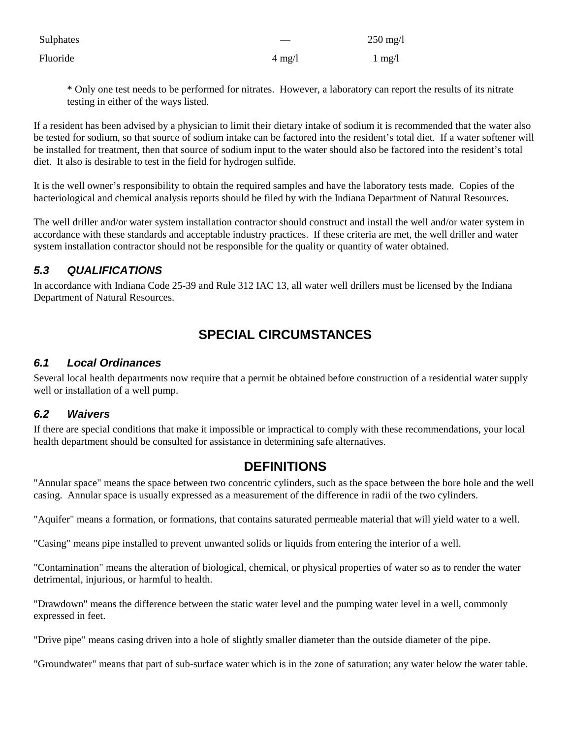| Sulphates |                  | $250 \text{ mg/l}$ |
|-----------|------------------|--------------------|
| Fluoride  | $4 \text{ mg}/1$ | $1 \text{ mg}/1$   |

\* Only one test needs to be performed for nitrates. However, a laboratory can report the results of its nitrate testing in either of the ways listed.

If a resident has been advised by a physician to limit their dietary intake of sodium it is recommended that the water also be tested for sodium, so that source of sodium intake can be factored into the resident's total diet. If a water softener will be installed for treatment, then that source of sodium input to the water should also be factored into the resident's total diet. It also is desirable to test in the field for hydrogen sulfide.

It is the well owner's responsibility to obtain the required samples and have the laboratory tests made. Copies of the bacteriological and chemical analysis reports should be filed by with the Indiana Department of Natural Resources.

The well driller and/or water system installation contractor should construct and install the well and/or water system in accordance with these standards and acceptable industry practices. If these criteria are met, the well driller and water system installation contractor should not be responsible for the quality or quantity of water obtained.

## *5.3 QUALIFICATIONS*

In accordance with Indiana Code 25-39 and Rule 312 IAC 13, all water well drillers must be licensed by the Indiana Department of Natural Resources.

# **SPECIAL CIRCUMSTANCES**

### *6.1 Local Ordinances*

Several local health departments now require that a permit be obtained before construction of a residential water supply well or installation of a well pump.

### *6.2 Waivers*

If there are special conditions that make it impossible or impractical to comply with these recommendations, your local health department should be consulted for assistance in determining safe alternatives.

## **DEFINITIONS**

"Annular space" means the space between two concentric cylinders, such as the space between the bore hole and the well casing. Annular space is usually expressed as a measurement of the difference in radii of the two cylinders.

"Aquifer" means a formation, or formations, that contains saturated permeable material that will yield water to a well.

"Casing" means pipe installed to prevent unwanted solids or liquids from entering the interior of a well.

"Contamination" means the alteration of biological, chemical, or physical properties of water so as to render the water detrimental, injurious, or harmful to health.

"Drawdown" means the difference between the static water level and the pumping water level in a well, commonly expressed in feet.

"Drive pipe" means casing driven into a hole of slightly smaller diameter than the outside diameter of the pipe.

"Groundwater" means that part of sub-surface water which is in the zone of saturation; any water below the water table.